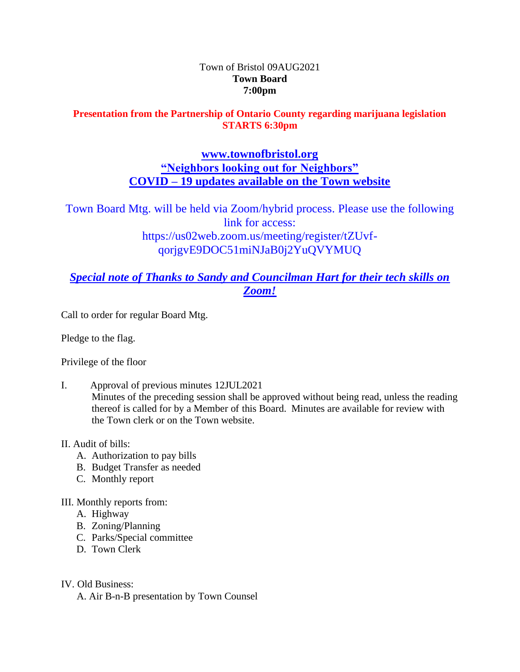#### Town of Bristol 09AUG2021 **Town Board 7:00pm**

### **Presentation from the Partnership of Ontario County regarding marijuana legislation STARTS 6:30pm**

## **[www.townofbristol.org](http://www.townofbristol.org/) "Neighbors looking out for Neighbors" COVID – 19 updates available on the Town website**

Town Board Mtg. will be held via Zoom/hybrid process. Please use the following link for access: https://us02web.zoom.us/meeting/register/tZUvfqorjgvE9DOC51miNJaB0j2YuQVYMUQ

# *Special note of Thanks to Sandy and Councilman Hart for their tech skills on Zoom!*

Call to order for regular Board Mtg.

Pledge to the flag.

Privilege of the floor

I. Approval of previous minutes 12JUL2021 Minutes of the preceding session shall be approved without being read, unless the reading thereof is called for by a Member of this Board. Minutes are available for review with the Town clerk or on the Town website.

### II. Audit of bills:

- A. Authorization to pay bills
- B. Budget Transfer as needed
- C. Monthly report
- III. Monthly reports from:
	- A. Highway
	- B. Zoning/Planning
	- C. Parks/Special committee
	- D. Town Clerk
- IV. Old Business:

A. Air B-n-B presentation by Town Counsel